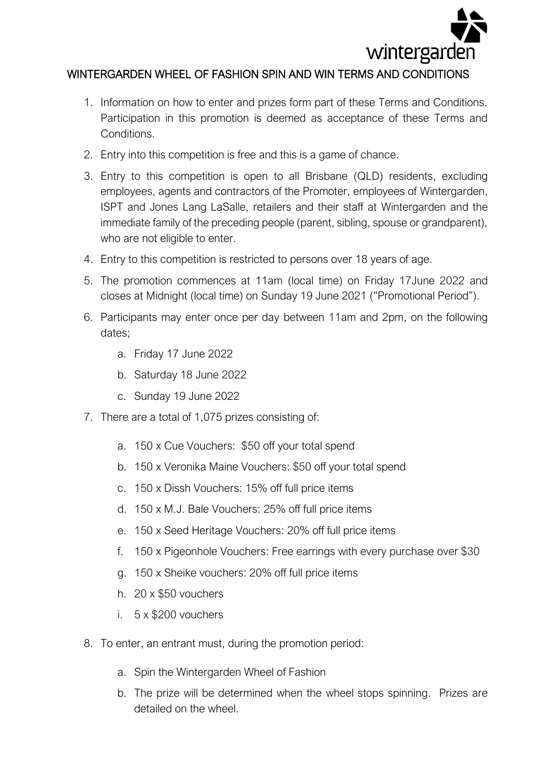

## WINTERGARDEN WHEEL OF FASHION SPIN AND WIN TERMS AND CONDITIONS

- 1. Information on how to enter and prizes form part of these Terms and Conditions. Participation in this promotion is deemed as acceptance of these Terms and Conditions.
- 2. Entry into this competition is free and this is a game of chance.
- 3. Entry to this competition is open to all Brisbane (QLD) residents, excluding employees, agents and contractors of the Promoter, employees of Wintergarden, ISPT and Jones Lang LaSalle, retailers and their staff at Wintergarden and the immediate family of the preceding people (parent, sibling, spouse or grandparent), who are not eligible to enter.
- 4. Entry to this competition is restricted to persons over 18 years of age.
- 5. The promotion commences at 11am (local time) on Friday 17June 2022 and closes at Midnight (local time) on Sunday 19 June 2021 ("Promotional Period").
- 6. Participants may enter once per day between 11am and 2pm, on the following dates;
	- a. Friday 17 June 2022
	- b. Saturday 18 June 2022
	- c. Sunday 19 June 2022
- 7. There are a total of 1,075 prizes consisting of:
	- a. 150 x Cue Vouchers: \$50 off your total spend
	- b. 150 x Veronika Maine Vouchers: \$50 off your total spend
	- c. 150 x Dissh Vouchers: 15% off full price items
	- d. 150 x M.J. Bale Vouchers: 25% off full price items
	- e. 150 x Seed Heritage Vouchers: 20% off full price items
	- f. 150 x Pigeonhole Vouchers: Free earrings with every purchase over \$30
	- g. 150 x Sheike vouchers: 20% off full price items
	- h. 20 x \$50 vouchers
	- i. 5 x \$200 vouchers
- 8. To enter, an entrant must, during the promotion period:
	- a. Spin the Wintergarden Wheel of Fashion
	- b. The prize will be determined when the wheel stops spinning. Prizes are detailed on the wheel.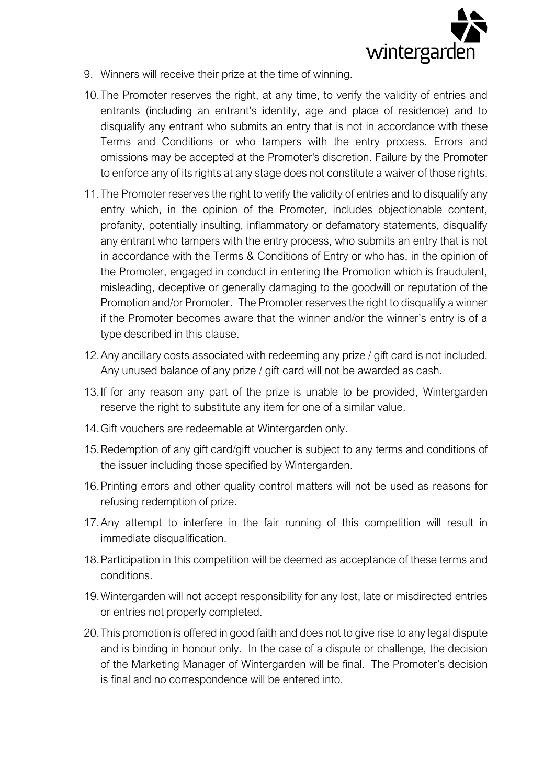

- 9. Winners will receive their prize at the time of winning.
- 10.The Promoter reserves the right, at any time, to verify the validity of entries and entrants (including an entrant's identity, age and place of residence) and to disqualify any entrant who submits an entry that is not in accordance with these Terms and Conditions or who tampers with the entry process. Errors and omissions may be accepted at the Promoter's discretion. Failure by the Promoter to enforce any of its rights at any stage does not constitute a waiver of those rights.
- 11.The Promoter reserves the right to verify the validity of entries and to disqualify any entry which, in the opinion of the Promoter, includes objectionable content, profanity, potentially insulting, inflammatory or defamatory statements, disqualify any entrant who tampers with the entry process, who submits an entry that is not in accordance with the Terms & Conditions of Entry or who has, in the opinion of the Promoter, engaged in conduct in entering the Promotion which is fraudulent, misleading, deceptive or generally damaging to the goodwill or reputation of the Promotion and/or Promoter. The Promoter reserves the right to disqualify a winner if the Promoter becomes aware that the winner and/or the winner's entry is of a type described in this clause.
- 12.Any ancillary costs associated with redeeming any prize / gift card is not included. Any unused balance of any prize / gift card will not be awarded as cash.
- 13.If for any reason any part of the prize is unable to be provided, Wintergarden reserve the right to substitute any item for one of a similar value.
- 14.Gift vouchers are redeemable at Wintergarden only.
- 15.Redemption of any gift card/gift voucher is subject to any terms and conditions of the issuer including those specified by Wintergarden.
- 16.Printing errors and other quality control matters will not be used as reasons for refusing redemption of prize.
- 17.Any attempt to interfere in the fair running of this competition will result in immediate disqualification.
- 18.Participation in this competition will be deemed as acceptance of these terms and conditions.
- 19.Wintergarden will not accept responsibility for any lost, late or misdirected entries or entries not properly completed.
- 20.This promotion is offered in good faith and does not to give rise to any legal dispute and is binding in honour only. In the case of a dispute or challenge, the decision of the Marketing Manager of Wintergarden will be final. The Promoter's decision is final and no correspondence will be entered into.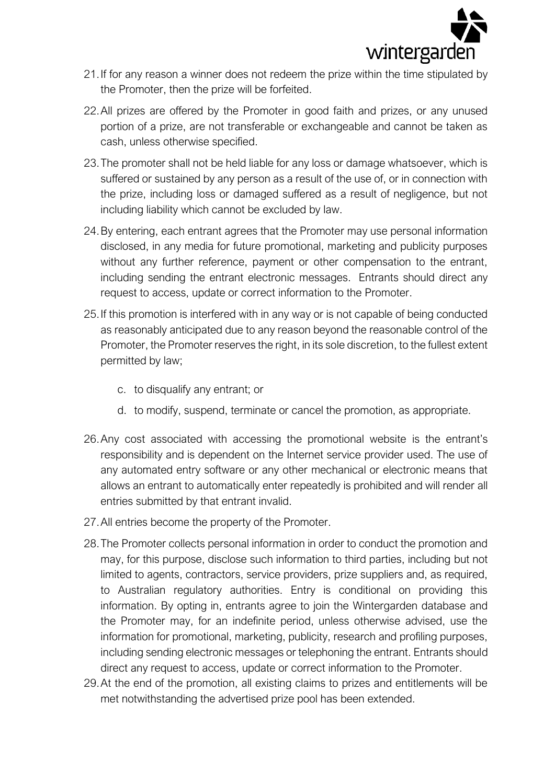

- 21.If for any reason a winner does not redeem the prize within the time stipulated by the Promoter, then the prize will be forfeited.
- 22.All prizes are offered by the Promoter in good faith and prizes, or any unused portion of a prize, are not transferable or exchangeable and cannot be taken as cash, unless otherwise specified.
- 23.The promoter shall not be held liable for any loss or damage whatsoever, which is suffered or sustained by any person as a result of the use of, or in connection with the prize, including loss or damaged suffered as a result of negligence, but not including liability which cannot be excluded by law.
- 24.By entering, each entrant agrees that the Promoter may use personal information disclosed, in any media for future promotional, marketing and publicity purposes without any further reference, payment or other compensation to the entrant, including sending the entrant electronic messages. Entrants should direct any request to access, update or correct information to the Promoter.
- 25.If this promotion is interfered with in any way or is not capable of being conducted as reasonably anticipated due to any reason beyond the reasonable control of the Promoter, the Promoter reserves the right, in its sole discretion, to the fullest extent permitted by law;
	- c. to disqualify any entrant; or
	- d. to modify, suspend, terminate or cancel the promotion, as appropriate.
- 26.Any cost associated with accessing the promotional website is the entrant's responsibility and is dependent on the Internet service provider used. The use of any automated entry software or any other mechanical or electronic means that allows an entrant to automatically enter repeatedly is prohibited and will render all entries submitted by that entrant invalid.
- 27.All entries become the property of the Promoter.
- 28.The Promoter collects personal information in order to conduct the promotion and may, for this purpose, disclose such information to third parties, including but not limited to agents, contractors, service providers, prize suppliers and, as required, to Australian regulatory authorities. Entry is conditional on providing this information. By opting in, entrants agree to join the Wintergarden database and the Promoter may, for an indefinite period, unless otherwise advised, use the information for promotional, marketing, publicity, research and profiling purposes, including sending electronic messages or telephoning the entrant. Entrants should direct any request to access, update or correct information to the Promoter.
- 29.At the end of the promotion, all existing claims to prizes and entitlements will be met notwithstanding the advertised prize pool has been extended.